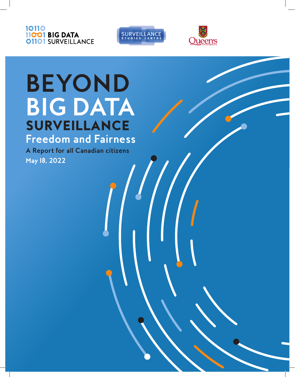





BEYOND BIG DATA SURVEILLANCE | **1** 

# **BEYOND BIG DATA**  SURVEILLANCE **Freedom and Fairness**

**A Report for all Canadian citizens May 18, 2022**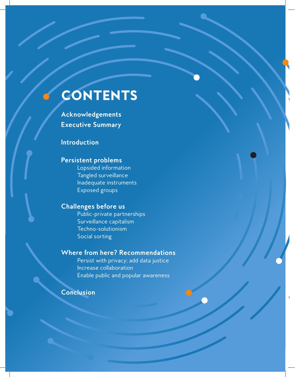## CONTENTS

**Acknowledgements Executive Summary**

#### **Introduction**

#### **Persistent problems**

Lopsided information Tangled surveillance Inadequate instruments Exposed groups

#### **Challenges before us**

Public-private partnerships Surveillance capitalism Techno-solutionism Social sorting

#### **Where from here? Recommendations**

Persist with privacy; add data justice Increase collaboration Enable public and popular awareness

**Conclusion**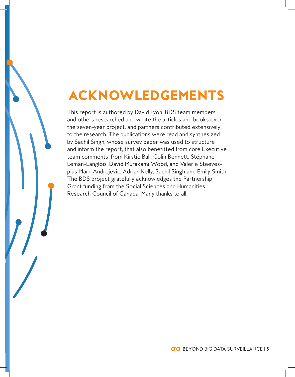# ACKNOWLEDGEMENTS

This report is authored by David Lyon. BDS team members and others researched and wrote the articles and books over the seven-year project, and partners contributed extensively to the research. The publications were read and synthesized by Sachil Singh, whose survey paper was used to structure and inform the report, that also benefitted from core Executive team comments—from Kirstie Ball, Colin Bennett, Stéphane Leman-Langlois, David Murakami Wood, and Valerie Steeves plus Mark Andrejevic, Adrian Kelly, Sachil Singh and Emily Smith. The BDS project gratefully acknowledges the Partnership Grant funding from the Social Sciences and Humanities Research Council of Canada. Many thanks to all.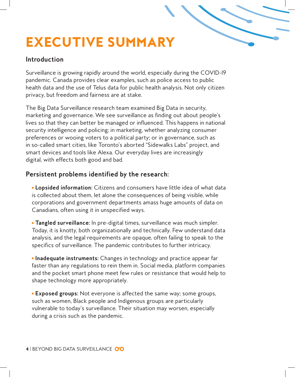# EXECUTIVE SUMMARY

#### **Introduction**

Surveillance is growing rapidly around the world, especially during the COVID-19 pandemic. Canada provides clear examples, such as police access to public health data and the use of Telus data for public health analysis. Not only citizen privacy, but freedom and fairness are at stake.

The Big Data Surveillance research team examined Big Data in security, marketing and governance. We see surveillance as finding out about people's lives so that they can better be managed or influenced. This happens in national security intelligence and policing; in marketing, whether analyzing consumer preferences or wooing voters to a political party; or in governance, such as in so-called smart cities, like Toronto's aborted "Sidewalks Labs" project, and smart devices and tools like Alexa. Our everyday lives are increasingly digital, with effects both good and bad.

#### **Persistent problems identified by the research:**

**Lopsided information:** Citizens and consumers have little idea of what data is collected about them, let alone the consequences of being visible, while corporations and government departments amass huge amounts of data on Canadians, often using it in unspecified ways.

**Tangled surveillance:** In pre-digital times, surveillance was much simpler. Today, it is knotty, both organizationally and technically. Few understand data analysis, and the legal requirements are opaque, often failing to speak to the specifics of surveillance. The pandemic contributes to further intricacy.

**Inadequate instruments:** Changes in technology and practice appear far faster than any regulations to rein them in. Social media, platform companies and the pocket smart phone meet few rules or resistance that would help to shape technology more appropriately.

**Exposed groups:** Not everyone is affected the same way; some groups, such as women, Black people and Indigenous groups are particularly vulnerable to today's surveillance. Their situation may worsen, especially during a crisis such as the pandemic.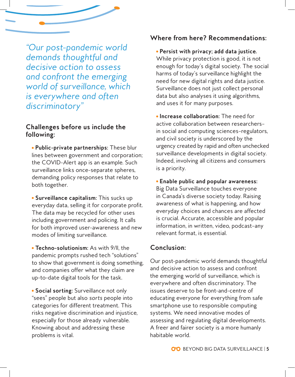*"Our post-pandemic world demands thoughtful and decisive action to assess and confront the emerging world of surveillance, which is everywhere and often discriminatory"*

#### **Challenges before us include the following:**

**Public-private partnerships:** These blur lines between government and corporation; the COVID-Alert app is an example. Such surveillance links once-separate spheres, demanding policy responses that relate to both together.

**Surveillance capitalism:** This sucks up everyday data, selling it for corporate profit. The data may be recycled for other uses including government and policing. It calls for both improved user-awareness and new modes of limiting surveillance.

**Techno-solutionism:** As with 9/11, the pandemic prompts rushed tech "solutions" to show that government is doing something, and companies offer what they claim are up-to-date digital tools for the task.

**Social sorting:** Surveillance not only "sees" people but also *sorts* people into categories for different treatment. This risks negative discrimination and injustice, especially for those already vulnerable. Knowing about and addressing these problems is vital.

#### **Where from here? Recommendations:**

**Persist with privacy; add data justice.**  While privacy protection is good, it is not enough for today's digital society. The social harms of today's surveillance highlight the need for new digital rights and data justice. Surveillance does not just collect personal data but also analyses it using algorithms, and uses it for many purposes.

**Increase collaboration:** The need for active collaboration between researchers in social and computing sciences—regulators, and civil society is underscored by the urgency created by rapid and often unchecked surveillance developments in digital society. Indeed, involving all citizens and consumers is a priority.

**Enable public and popular awareness:**  Big Data Surveillance touches everyone in Canada's diverse society today. Raising awareness of what is happening, and how everyday choices and chances are affected is crucial. Accurate, accessible and popular information, in written, video, podcast—any relevant format, is essential.

#### **Conclusion:**

Our post-pandemic world demands thoughtful and decisive action to assess and confront the emerging world of surveillance, which is everywhere and often discriminatory. The issues deserve to be front-and-centre of educating everyone for everything from safe smartphone use to responsible computing systems. We need innovative modes of assessing and regulating digital developments. A freer and fairer society is a more humanly habitable world.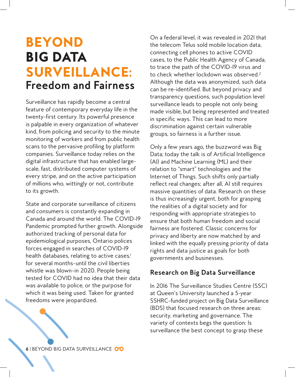## BEYOND BIG DATA SURVEILLANCE: **Freedom and Fairness**

Surveillance has rapidly become a central feature of contemporary everyday life in the twenty-first century. Its powerful presence is palpable in every organization of whatever kind, from policing and security to the minute monitoring of workers and from public health scans to the pervasive profiling by platform companies. Surveillance today relies on the digital infrastructure that has enabled largescale, fast, distributed computer systems of every stripe, and on the active participation of millions who, wittingly or not, contribute to its growth.

State and corporate surveillance of citizens and consumers is constantly expanding in Canada and around the world. The COVID-19 Pandemic prompted further growth. Alongside authorized tracking of personal data for epidemiological purposes, Ontario polices forces engaged in searches of COVID-19 health databases, relating to active cases,<sup>1</sup> for several months—until the civil liberties whistle was blown—in 2020. People being tested for COVID had no idea that their data was available to police, or the purpose for which it was being used. Taken for granted freedoms were jeopardized.

On a federal level, it was revealed in 2021 that the telecom Telus sold mobile location data, connecting cell phones to active COVID cases, to the Public Health Agency of Canada, to trace the path of the COVID-19 virus and to check whether lockdown was observed.<sup>2</sup> Although the data was anonymized, such data can be re-identified. But beyond privacy and transparency questions, such population level surveillance leads to people not only being made visible, but being represented and treated in specific ways. This can lead to more discrimination against certain vulnerable groups, so fairness is a further issue.

Only a few years ago, the buzzword was Big Data; today the talk is of Artificial Intelligence (AI) and Machine Learning (ML) and their relation to "smart" technologies and the Internet of Things. Such shifts only partially reflect real changes; after all, AI still requires massive quantities of data. Research on these is thus increasingly urgent, both for grasping the realities of a digital society and for responding with appropriate strategies to ensure that both human freedom and social fairness are fostered. Classic concerns for privacy and liberty are now matched by and linked with the equally pressing priority of data rights and data justice as goals for both governments and businesses.

#### **Research on Big Data Surveillance**

In 2016 The Surveillance Studies Centre (SSC) at Queen's University launched a 5-year SSHRC-funded project on Big Data Surveillance (BDS) that focused research on three areas: security, marketing and governance. The variety of contexts begs the question: Is surveillance the best concept to grasp these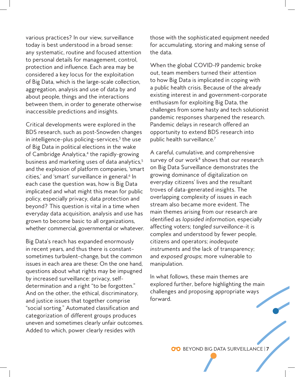various practices? In our view, surveillance today is best understood in a broad sense: any systematic, routine and focused attention to personal details for management, control, protection and influence. Each area may be considered a key locus for the exploitation of Big Data, which is the large-scale collection, aggregation, analysis and use of data by and about people, things and the interactions between them, in order to generate otherwise inaccessible predictions and insights.

Critical developments were explored in the BDS research, such as post-Snowden changes in intelligence–plus policing–services, $3$  the use of Big Data in political elections in the wake of Cambridge Analytica,<sup>4</sup> the rapidly-growing business and marketing uses of data analytics,<sup>5</sup> and the explosion of platform companies, 'smart cities,' and 'smart' surveillance in general.<sup>6</sup> In each case the question was, how is Big Data implicated and what might this mean for public policy, especially privacy, data protection and beyond? This question is vital in a time when everyday data acquisition, analysis and use has grown to become basic to all organizations, whether commercial, governmental or whatever.

Big Data's reach has expanded enormously in recent years, and thus there is constant sometimes turbulent-change, but the common issues in each area are these: On the one hand, questions about what rights may be impugned by increased surveillance: privacy, selfdetermination and a right "to be forgotten." And on the other, the ethical, discriminatory, and justice issues that together comprise "social sorting." Automated classification and categorization of different groups produces uneven and sometimes clearly unfair outcomes. Added to which, power clearly resides with

those with the sophisticated equipment needed for accumulating, storing and making sense of the data.

When the global COVID-19 pandemic broke out, team members turned their attention to how Big Data is implicated in coping with a public health crisis. Because of the already existing interest in and government-corporate enthusiasm for exploiting Big Data, the challenges from some hasty and tech solutionist pandemic responses sharpened the research. Pandemic delays in research offered an opportunity to extend BDS research into public health surveillance.7

A careful, cumulative, and comprehensive survey of our work $8$  shows that our research on Big Data Surveillance demonstrates the growing dominance of digitalization on everyday citizens' lives and the resultant troves of data-generated insights. The overlapping complexity of issues in each stream also became more evident. The main themes arising from our research are identified as *lopsided information*, especially affecting voters; *tangled surveillance*—it is complex and understood by fewer people, citizens and operators; *inadequate instruments* and the lack of transparency; and *exposed groups*; more vulnerable to manipulation.

In what follows, these main themes are explored further, before highlighting the main challenges and proposing appropriate ways forward.

BEYOND BIG DATA SURVEILLANCE | **7**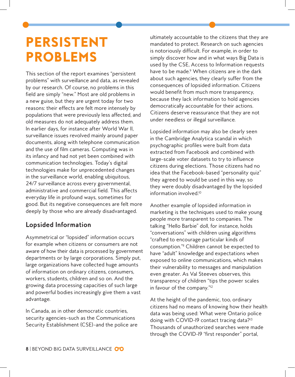## PERSISTENT PROBLEMS

This section of the report examines "persistent problems" with surveillance and data, as revealed by our research. Of course, no problems in this field are simply "new." Most are old problems in a new guise, but they are urgent today for two reasons: their effects are felt more intensely by populations that were previously less affected, and old measures do not adequately address them. In earlier days, for instance after World War II, surveillance issues revolved mainly around paper documents, along with telephone communication and the use of film cameras. Computing was in its infancy and had not yet been combined with communication technologies. Today's digital technologies make for unprecedented changes in the surveillance world, enabling ubiquitous, 24/7 surveillance across every governmental, administrative and commercial field. This affects everyday life in profound ways, sometimes for good. But its negative consequences are felt more deeply by those who are already disadvantaged.

#### **Lopsided Information**

Asymmetrical or "lopsided" information occurs for example when citizens or consumers are not aware of how their data is processed by government departments or by large corporations. Simply put, large organizations have collected huge amounts of information on ordinary citizens, consumers, workers, students, children and so on. And the growing data processing capacities of such large and powerful bodies increasingly give them a vast advantage.

In Canada, as in other democratic countries, security agencies—such as the Communications Security Establishment (CSE)—and the police are ultimately accountable to the citizens that they are mandated to protect. Research on such agencies is notoriously difficult. For example, in order to simply discover how and in what ways Big Data is used by the CSE, Access to Information requests have to be made.<sup>9</sup> When citizens are in the dark about such agencies, they clearly suffer from the consequences of lopsided information. Citizens would benefit from much more transparency, because they lack information to hold agencies democratically accountable for their actions. Citizens deserve reassurance that they are not under needless or illegal surveillance.

Lopsided information may also be clearly seen in the Cambridge Analytica scandal in which psychographic profiles were built from data extracted from Facebook and combined with large-scale voter datasets to try to influence citizens during elections. Those citizens had no idea that the Facebook-based "personality quiz" they agreed to would be used in this way, so they were doubly disadvantaged by the lopsided information involved.10

Another example of lopsided information in marketing is the techniques used to make young people more transparent to companies. The talking "Hello Barbie" doll, for instance, holds "conversations" with children using algorithms "crafted to encourage particular kinds of consumption."" Children cannot be expected to have "adult" knowledge and expectations when exposed to online communications, which makes their vulnerability to messages and manipulation even greater. As Val Steeves observes, this transparency of children "tips the power scales in favour of the company."<sup>12</sup>

At the height of the pandemic, too, ordinary citizens had no means of knowing how their health data was being used: What were Ontario police doing with COVID-I9 contact tracing data?<sup>13</sup> Thousands of unauthorized searches were made through the COVID-19 "first responder" portal,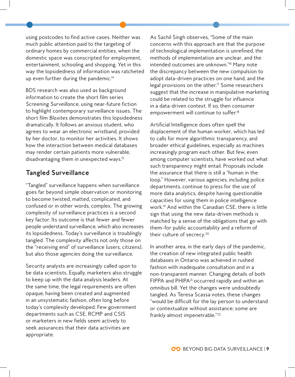using postcodes to find active cases. Neither was much public attention paid to the targeting of ordinary homes by commercial entities, when the domestic space was conscripted for employment, entertainment, schooling and shopping. Yet in this way the lopsidedness of information was ratcheted up even further during the pandemic.<sup>14</sup>

BDS research was also used as background information to create the short film series *Screening Surveillance*, using near-future fiction to highlight contemporary surveillance issues. The short film *Blaxites* demonstrates this lopsidedness dramatically. It follows an anxious student, who agrees to wear an electronic wristband, provided by her doctor, to monitor her activities. It shows how the interaction between medical databases may render certain patients more vulnerable, disadvantaging them in unexpected ways.<sup>15</sup>

#### **Tangled Surveillance**

"Tangled" surveillance happens when surveillance goes far beyond simple observation or monitoring to become twisted, matted, complicated, and confused or in other words, complex. The growing complexity of surveillance practices is a second key factor. Its outcome is that fewer and fewer people understand surveillance, which also increases its lopsidedness. Today's surveillance is troublingly tangled. The complexity affects not only those on the "receiving end" of surveillance (users, citizens), but also those agencies doing the surveillance.

Security analysts are increasingly called upon to be data scientists. Equally, marketers also struggle to keep up with the data analysis leaders. At the same time, the legal requirements are often opaque, having been created and augmented in an unsystematic fashion, often long before today's complexity developed. Few government departments such as CSE, RCMP and CSIS or marketers in new fields seem actively to seek assurances that their data activities are appropriate.

As Sachil Singh observes, "Some of the main concerns with this approach are that the purpose of technological implementation is unrefined, the methods of implementation are unclear, and the intended outcomes are unknown."<sup>16</sup> Many note the discrepancy between the new compulsion to adopt data-driven practices on one hand, and the legal provisions on the other.<sup> $7$ </sup> Some researchers suggest that the increase in manipulative marketing could be related to the struggle for influence in a data-driven context. If so, then consumer empowerment will continue to suffer.<sup>18</sup>

Artificial Intelligence does often spell the displacement of the human worker, which has led to calls for more algorithmic transparency, and broader ethical guidelines, especially as machines increasingly program each other. But few, even among computer scientists, have worked out what such transparency might entail. Proposals include the assurance that there is still a "human in the loop." However, various agencies, including police departments, continue to press for the use of more data analytics, despite having questionable capacities for using them in police intelligence work.19 And within the Canadian CSE, there is little sign that using the new data-driven methods is matched by a sense of the obligations that go with them—for public accountability and a reform of their culture of secrecy.20

In another area, in the early days of the pandemic, the creation of new integrated public health databases in Ontario was achieved in rushed fashion with inadequate consultation and in a non-transparent manner. Changing details of both FIPPA and PHIPA<sup>21</sup> occurred rapidly and within an omnibus bill. Yet the changes were undoubtedly tangled. As Teresa Scassa notes, these changes "would be difficult for the lay person to understand or contextualize without assistance; some are frankly almost impenetrable."22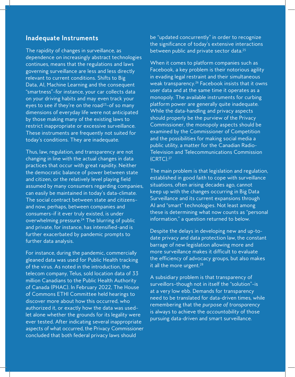#### **Inadequate Instruments**

The rapidity of changes in surveillance, as dependence on increasingly abstract technologies continues, means that the regulations and laws governing surveillance are less and less directly relevant to current conditions. Shifts to Big Data, AI, Machine Learning and the consequent "smartness"—for instance, your car collects data on your driving habits and may even track your eyes to see if they're on the road<sup>23</sup>-of so many dimensions of everyday life were not anticipated by those making many of the existing laws to restrict inappropriate or excessive surveillance. These instruments are frequently not suited for today's conditions. They are inadequate.

Thus, law, regulation, and transparency are not changing in line with the actual changes in data practices that occur with great rapidity. Neither the democratic balance of power between state and citizen, or the relatively level playing field assumed by many consumers regarding companies, can easily be maintained in today's data-climate. The social contract between state and citizens and now, perhaps, between companies and consumers—if it ever truly existed, is under overwhelming pressure.24 The blurring of public and private, for instance, has intensified—and is further exacerbated by pandemic prompts to further data analysis.

For instance, during the pandemic, commercially gleaned data was used for Public Health tracking of the virus. As noted in the introduction, the telecom company, Telus, sold location data of 33 million Canadians to the Public Health Authority of Canada (PHAC). In February 2022, The House of Commons ETHI Committee held hearings to discover more about how this occurred, who authorized it, or exactly how the data was used let alone whether the grounds for its legality were ever tested. After indicating several inappropriate aspects of what occurred, the Privacy Commissioner concluded that both federal privacy laws should

be "updated concurrently" in order to recognize the significance of today's extensive interactions between public and private sector data.<sup>25</sup>

When it comes to platform companies such as Facebook, a key problem is their notorious agility in evading legal restraint and their simultaneous weak transparency.<sup>26</sup> Facebook insists that it owns user data and at the same time it operates as a monopoly. The available instruments for curbing platform power are generally quite inadequate. While the data-handling and privacy aspects should properly be the purview of the Privacy Commissioner, the monopoly aspects should be examined by the Commissioner of Competition and the possibilities for making social media a public utility, a matter for the Canadian Radio-Television and Telecommunications Commission (CRTC).27

The main problem is that legislation and regulation, established in good faith to cope with surveillance situations, often arising decades ago, cannot keep up with the changes occurring in Big Data Surveillance and its current expansions through AI and "smart" technologies. Not least among these is determining what now counts as "personal information," a question returned to below.

Despite the delays in developing new and up-todate privacy and data protection law, the constant barrage of new legislation allowing more and more surveillance makes it difficult to evaluate the efficiency of advocacy groups, but also makes it all the more urgent.<sup>28</sup>

A subsidiary problem is that transparency of surveillors-though not in itself the "solution"-is at a very low ebb. Demands for transparency need to be translated for data-driven times, while remembering that the *purpose of transparency* is always to achieve the *accountability* of those pursuing data-driven and smart surveillance.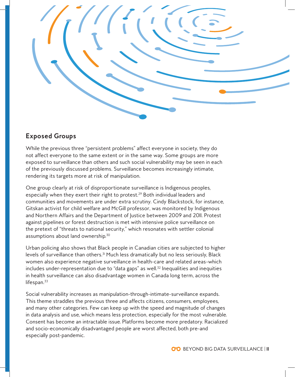

#### **Exposed Groups**

While the previous three "persistent problems" affect everyone in society, they do not affect everyone to the same extent or in the same way. Some groups are more exposed to surveillance than others and such social vulnerability may be seen in each of the previously discussed problems. Surveillance becomes increasingly intimate, rendering its targets more at risk of manipulation.

One group clearly at risk of disproportionate surveillance is Indigenous peoples, especially when they exert their right to protest.29 Both individual leaders and communities and movements are under extra scrutiny. Cindy Blackstock, for instance, Gitskan activist for child welfare and McGill professor, was monitored by Indigenous and Northern Affairs and the Department of Justice between 2009 and 2011. Protest against pipelines or forest destruction is met with intensive police surveillance on the pretext of "threats to national security," which resonates with settler colonial assumptions about land ownership.30

Urban policing also shows that Black people in Canadian cities are subjected to higher levels of surveillance than others.<sup>31</sup> Much less dramatically but no less seriously, Black women also experience negative surveillance in health-care and related areas-which includes under-representation due to "data gaps" as well.<sup>32</sup> Inequalities and inequities in health surveillance can also disadvantage women in Canada long term, across the lifespan. $33$ 

Social vulnerability increases as manipulation-through-intimate-surveillance expands. This theme straddles the previous three and affects citizens, consumers, employees, and many other categories. Few can keep up with the speed and magnitude of changes in data analysis and use, which means less protection, especially for the most vulnerable. Consent has become an intractable issue. Platforms become more predatory. Racialized and socio-economically disadvantaged people are worst affected, both pre-and especially post-pandemic.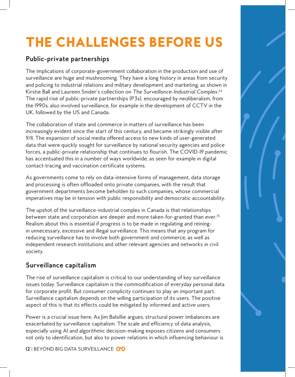## THE CHALLENGES BEFORE US

#### **Public-private partnerships**

The implications of corporate-government collaboration in the production and use of surveillance are huge and mushrooming. They have a long history in areas from security and policing to industrial relations and military development and marketing, as shown in Kirstie Ball and Laureen Snider's collection on *The Surveillance-Industrial Complex*. 34 The rapid rise of public-private partnerships (P3s), encouraged by neoliberalism, from the 1990s, also involved surveillance, for example in the development of CCTV in the UK, followed by the US and Canada.

The collaboration of state and commerce in matters of surveillance has been increasingly evident since the start of this century, and became strikingly visible after 9/11. The expansion of social media offered access to new kinds of user-generated data that were quickly sought for surveillance by national security agencies and police forces, a public-private relationship that continues to flourish. The COVID-19 pandemic has accentuated this in a number of ways worldwide, as seen for example in digital contact-tracing and vaccination certificate systems.

As governments come to rely on data-intensive forms of management, data storage and processing is often offloaded onto private companies, with the result that government departments become beholden to such companies, whose commercial imperatives may be in tension with public responsibility and democratic accountability.

The upshot of the surveillance-industrial complex in Canada is that relationships between state and corporation are deeper and more taken-for-granted than ever.<sup>35</sup> Realism about this is essential if progress is to be made in regulating and reiningin unnecessary, excessive and illegal surveillance. This means that any program for reducing surveillance has to involve both government *and* commerce, as well as independent research institutions and other relevant agencies and networks in civil society.

#### **Surveillance capitalism**

The rise of surveillance capitalism is critical to our understanding of key surveillance issues today. Surveillance capitalism is the commodification of everyday personal data for corporate profit. But consumer complicity continues to play an important part. Surveillance capitalism depends on the willing participation of its users. The positive aspect of this is that its effects could be mitigated by informed and active users.

Power is a crucial issue here. As  $\lim$  Balsillie argues, structural power imbalances are exacerbated by surveillance capitalism. The scale and efficiency of data analysis, especially using AI and algorithmic decision-making exposes citizens and consumers not only to identification, but also to power relations in which influencing behaviour is

**12** | BEYOND BIG DATA SURVEILLANCE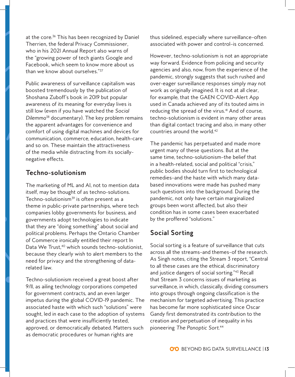at the core.<sup>36</sup> This has been recognized by Daniel Therrien, the federal Privacy Commissioner, who in his 2021 Annual Report also warns of the "growing power of tech giants Google and Facebook, which seem to know more about us than we know about ourselves."37

Public awareness of surveillance capitalism was boosted tremendously by the publication of Shoshana Zuboff's book in 2019 but popular awareness of its meaning for everyday lives is still low (even if you have watched the *Social Dilemma*38 documentary). The key problem remains the apparent advantages for convenience and comfort of using digital machines and devices for communication, commerce, education, health-care and so on. These maintain the attractiveness of the media while distracting from its sociallynegative effects.

#### **Techno-solutionism**

The marketing of ML and AI, not to mention data itself, may be thought of as techno-solutions. Techno-solutionism $39$  is often present as a theme in public-private partnerships, where tech companies lobby governments for business, and governments adopt technologies to indicate that they are "doing something" about social and political problems. Perhaps the Ontario Chamber of Commerce ironically entitled their report In Data We Trust,<sup>40</sup> which sounds techno-solutionist, because they clearly wish to alert members to the need for privacy and the strengthening of datarelated law.

Techno-solutionism received a great boost after 9/11, as ailing technology corporations competed for government contracts, and an even larger impetus during the global COVID-19 pandemic. The associated haste with which such "solutions" were sought, led in each case to the adoption of systems and practices that were insufficiently tested, approved, or democratically debated. Matters such as democratic procedures or human rights are

thus sidelined, especially where surveillance—often associated with power and control—is concerned.

However, techno-solutionism is not an appropriate way forward. Evidence from policing and security agencies and also, now, from the experience of the pandemic, strongly suggests that such rushed and over-eager surveillance responses simply may not work as originally imagined. It is not at all clear, for example, that the GAEN COVID-Alert App used in Canada achieved any of its touted aims in reducing the spread of the virus.<sup>41</sup> And of course, techno-solutionism is evident in many other areas than digital contact tracing and also, in many other countries around the world.42

The pandemic has perpetuated and made more urgent many of these questions. But at the same time, techno-solutionism—the belief that in a health-related, social and political "crisis," public bodies should turn first to technological remedies—and the haste with which many databased innovations were made has pushed many such questions into the background. During the pandemic, not only have certain marginalized groups been worst affected, but also their condition has in some cases been exacerbated by the proffered "solutions."

#### **Social Sorting**

Social sorting is a feature of surveillance that cuts across all the streams—and themes—of the research. As Singh notes, citing the Stream 3 report, "Central to all these cases are the ethical, discriminatory and justice dangers of social sorting."43 Recall that Stream 3 concerns issues of marketing as surveillance, in which, classically, dividing consumers into groups through ongoing classification is the mechanism for targeted advertising. This practice has become far more sophisticated since Oscar Gandy first demonstrated its contribution to the creation and perpetuation of inequality in his pioneering *The Panoptic Sort*. 44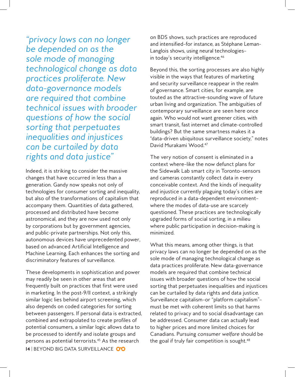*"privacy laws can no longer be depended on as the sole mode of managing technological change as data practices proliferate. New data-governance models are required that combine technical issues with broader questions of how the social sorting that perpetuates inequalities and injustices can be curtailed by data rights and data justice"*

Indeed, it is striking to consider the massive changes that have occurred in less than a generation. Gandy now speaks not only of technologies for consumer sorting and inequality, but also of the transformations of capitalism that accompany them. Quantities of data gathered, processed and distributed have become astronomical, and they are now used not only by corporations but by government agencies, and public-private partnerships. Not only this, autonomous devices have unprecedented power, based on advanced Artificial Intelligence and Machine Learning. Each enhances the sorting and discriminatory features of surveillance.

**14** | BEYOND BIG DATA SURVEILLANCE These developments in sophistication and power may readily be seen in other areas that are frequently built on practices that first were used in marketing. In the post-9/11 context, a strikingly similar logic lies behind airport screening, which also depends on coded categories for sorting between passengers. If personal data is extracted, combined and extrapolated to create profiles of potential consumers, a similar logic allows data to be processed to identify and isolate groups and persons as potential terrorists.45 As the research

on BDS shows, such practices are reproduced and intensified—for instance, as Stéphane Leman-Langlois shows, using neural technologies in today's security intelligence.<sup>46</sup>

Beyond this, the sorting processes are also highly visible in the ways that features of marketing and security surveillance reappear in the realm of governance. Smart cities, for example, are touted as the attractive-sounding wave of future urban living and organization. The ambiguities of contemporary surveillance are seen here once again. Who would not want greener cities, with smart transit, fast internet and climate-controlled buildings? But the same smartness makes it a "data-driven ubiquitous surveillance society," notes David Murakami Wood.47

The very notion of consent is eliminated in a context where—like the now defunct plans for the Sidewalk Lab smart city in Toronto—sensors and cameras constantly collect data in every conceivable context. And the kinds of inequality and injustice currently plaguing today's cities are reproduced in a data-dependent environment where the modes of data-use are scarcely questioned. These practices are technologically upgraded forms of social sorting, in a milieu where public participation in decision-making is minimized.

What this means, among other things, is that privacy laws can no longer be depended on as the sole mode of managing technological change as data practices proliferate. New data-governance models are required that combine technical issues with broader questions of how the social sorting that perpetuates inequalities and injustices can be curtailed by data rights and data justice. Surveillance capitalism—or "platform capitalism" must be met with coherent limits so that harms related to privacy and to social disadvantage can be addressed. Consumer data can actually lead to higher prices and more limited choices for Canadians. Pursuing *consumer welfare* should be the goal if truly fair competition is sought.<sup>48</sup>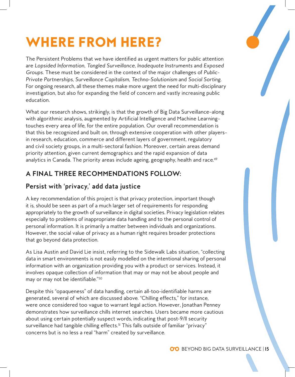## WHERE FROM HERE?

The Persistent Problems that we have identified as urgent matters for public attention are *Lopsided Information*, *Tangled Surveillance*, *Inadequate Instruments* and *Exposed Groups*. These must be considered in the context of the major challenges of *Public-Private Partnerships*, *Surveillance Capitalism*, *Techno-Solutionism* and *Social Sorting*. For ongoing research, all these themes make more urgent the need for multi-disciplinary investigation, but also for expanding the field of concern and vastly increasing public education.

What our research shows, strikingly, is that the growth of Big Data Surveillance-along with algorithmic analysis, augmented by Artificial Intelligence and Machine Learning touches every area of life, for the entire population. Our overall recommendation is that this be recognized and built on, through extensive cooperation with other playersin research, education, commerce and different layers of government, regulatory and civil society groups, in a multi-sectoral fashion. Moreover, certain areas demand priority attention, given current demographics and the rapid expansion of data analytics in Canada. The priority areas include ageing, geography, health and race.<sup>49</sup>

#### **A FINAL THREE RECOMMENDATIONS FOLLOW:**

#### **Persist with 'privacy,' add data justice**

A key recommendation of this project is that privacy protection, important though it is, should be seen as part of a much larger set of requirements for responding appropriately to the growth of surveillance in digital societies. Privacy legislation relates especially to problems of inappropriate data handling and to the personal control of personal information. It is primarily a matter between individuals and organizations. However, the social value of privacy as a human right requires broader protections that go beyond data protection.

As Lisa Austin and David Lie insist, referring to the Sidewalk Labs situation, "collecting data in smart environments is not easily modelled on the intentional sharing of personal information with an organization providing you with a product or services. Instead, it involves opaque collection of information that may or may not be about people and may or may not be identifiable."50

Despite this "opaqueness" of data handling, certain all-too-identifiable harms are generated, several of which are discussed above. "Chilling effects," for instance, were once considered too vague to warrant legal action. However, Jonathan Penney demonstrates how surveillance chills internet searches. Users became more cautious about using certain potentially suspect words, indicating that post-9/11 security surveillance had tangible chilling effects.<sup>51</sup> This falls outside of familiar "privacy" concerns but is no less a real "harm" created by surveillance.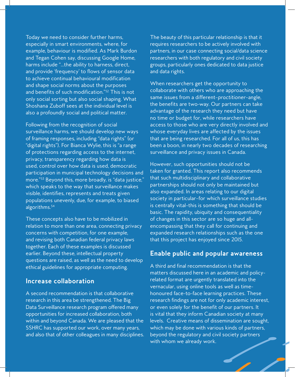Today we need to consider further harms, especially in smart environments, where, for example, behaviour is modified. As Mark Burdon and Tegan Cohen say, discussing Google Home, harms include "…the ability to harness, direct, and provide 'frequency' to flows of sensor data to achieve continual behavioural modification and shape social norms about the purposes and benefits of such modification."52 This is not only social sorting but also social shaping. What Shoshana Zuboff sees at the individual level is also a profoundly social and political matter.

Following from the recognition of social surveillance harms, we should develop new ways of framing responses, including "data rights" (or "digital rights"). For Bianca Wylie, this is "a range of protections regarding access to the internet, privacy, transparency regarding how data is used, control over how data is used, democratic participation in municipal technology decisions and more."53 Beyond this, more broadly, is "data justice," which speaks to the way that surveillance makes visible, identifies, represents and treats given populations unevenly, due, for example, to biased algorithms.54

These concepts also have to be mobilized in relation to more than one area, connecting privacy concerns with competition, for one example, and revising both Canadian federal privacy laws together. Each of these examples is discussed earlier. Beyond these, intellectual property questions are raised, as well as the need to develop ethical guidelines for appropriate computing.

#### **Increase collaboration**

A second recommendation is that collaborative research in this area be strengthened. The Big Data Surveillance research program offered many opportunities for increased collaboration, both within and beyond Canada. We are pleased that the SSHRC has supported our work, over many years, and also that of other colleagues in many disciplines. The beauty of this particular relationship is that it requires researchers to be actively involved with partners, in our case connecting social/data science researchers with both regulatory and civil society groups, particularly ones dedicated to data justice and data rights.

When researchers get the opportunity to collaborate with others who are approaching the same issues from a different—*practitioner*—angle, the benefits are two-way. Our partners can take advantage of the research they need but have no time or budget for, while researchers have access to those who are very directly involved and whose everyday lives are affected by the issues that are being researched. For all of us, this has been a boon, in nearly two decades of researching surveillance and privacy issues in Canada.

However, such opportunities should not be taken for granted. This report also recommends that such multidisciplinary and collaborative partnerships should not only be maintained but also expanded. In areas relating to our digital society in particular—for which surveillance studies is centrally vital-this is something that should be basic. The rapidity, ubiquity and consequentiality of changes in this sector are so huge and allencompassing that they call for continuing and expanded research relationships such as the one that this project has enjoyed since 2015.

#### **Enable public and popular awareness**

A third and final recommendation is that the matters discussed here in an academic and policyrelated format are urgently translated into the vernacular, using online tools as well as timehonoured face-to-face learning practices. These research findings are not for only academic interest, or even solely for the benefit of our partners. It is vital that they inform Canadian society at many levels. Creative means of dissemination are sought, which may be done with various kinds of partners, beyond the regulatory and civil society partners with whom we already work.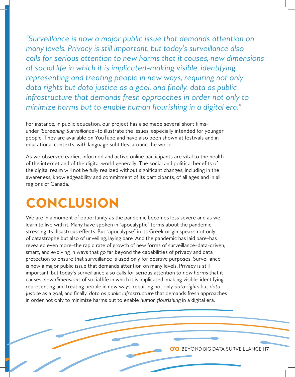*"Surveillance is now a major public issue that demands attention on many levels. Privacy is still important, but today's surveillance also calls for serious attention to new harms that it causes, new dimensions of social life in which it is implicated—making visible, identifying, representing and treating people in new ways, requiring not only data rights but data justice as a goal, and finally, data as public infrastructure that demands fresh approaches in order not only to minimize harms but to enable human flourishing in a digital era."*

For instance, in public education, our project has also made several short films under *'Screening Surveillance'*—to illustrate the issues, especially intended for younger people. They are available on YouTube and have also been shown at festivals and in educational contexts—with language subtitles—around the world.

As we observed earlier, informed and active online participants are vital to the health of the internet and of the digital world generally. The social and political benefits of the digital realm will not be fully realized without significant changes, including in the awareness, knowledgeability and commitment of its participants, of all ages and in all regions of Canada.

## CONCLUSION

We are in a moment of opportunity as the pandemic becomes less severe and as we learn to live with it. Many have spoken in "apocalyptic" terms about the pandemic, stressing its disastrous effects. But "apocalypse" in its Greek origin speaks not only of catastrophe but also of unveiling, laying bare. And the pandemic has laid bare—has revealed even more-the rapid rate of growth of new forms of surveillance-data-driven, smart, and evolving in ways that go far beyond the capabilities of privacy and data protection to ensure that surveillance is used only for positive purposes. Surveillance is now a major public issue that demands attention on many levels. Privacy is still important, but today's surveillance also calls for serious attention to *new harms* that it causes, *new dimensions* of social life in which it is implicated—making visible, identifying, representing and treating people in new ways, requiring not only *data rights* but *data justice* as a goal, and finally, *data as public infrastructure* that demands fresh approaches in order not only to minimize harms but to enable *human flourishing* in a digital era.

BEYOND BIG DATA SURVEILLANCE | **17**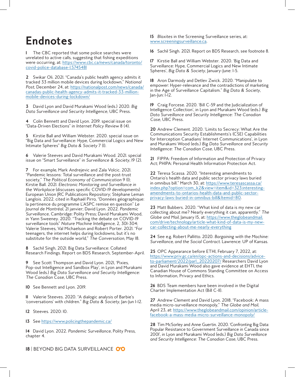### **Endnotes**

**1** The CBC reported that some police searches were unrelated to active calls, suggesting that fishing expeditions were occurring, at: https://www.cbc.ca/news/canada/toronto/ covid-police-database-1.5745481

**2** Swikar Oli. 2021. "Canada's public health agency admits it tracked 33 million mobile devices during lockdown," *National*  Post, December 24, at: https://nationalpost.com/news/canada/ canadas-public-health-agency-admits-it-tracked-33-millionmobile-devices-during-lockdown/

**3** David Lyon and David Murakami Wood (eds.) 2020. *Big Data Surveillance and Security Intelligence*, UBC Press.

**4** Colin Bennett and David Lyon. 2019. special issue on "Data-Driven Elections" in *Internet Policy Review* 8 (4).

**5** Kirstie Ball and William Webster. 2020. special issue on "Big Data and Surveillance: Hype, Commercial Logics and New Intimate Spheres" *Big Data & Society* 7 (1).

**6** Valerie Steeves and David Murakami Wood. 2021. special issue on "Smart Surveillance" in *Surveillance & Society*, 19 (2).

**7** For example, Mark Andrejevic and Zala Volcic. 2021. "Pandemic lessons: Total surveillance and the post-trust society," *The Political Economy of Communication* 9 (1); Kirstie Ball. 2021. *Electronic Monitoring and Surveillance in the Workplace* (discusses specific COVID-19 developments) European Union JRC Publications Repository; Stéphane Leman Langlois. 2022. cited in Raphaël Pirro, "Données géographique: la pertinence du programme L'ASPC remise en question" *Le Journal de Montréal*, 21 janvier; David Lyon. 2022. *Pandemic Surveillance*, Cambridge: Polity Press; David Murakami Wood, in Yann Sweeney. 2020. "Tracking the debate on COVID-19 surveillance tools" *Nature Machine Intelligence*, 2, 301-304; Valerie Steeves, Val Michaelson and Robert Porter. 2021. "For teenagers, the internet helps during lockdowns, but it's no substitute for the outside world," *The Conversation*, May 18.

**8** Sachil Singh, 2021. Big Data Surveillance: Collated Research Findings. Report on BDS Research, September-April.

**9** See Scott Thompson and David Lyon. 2021, 'Pixies, Pop-out Intelligence and Sandbox Play', in Lyon and Murakami Wood (eds.) *Big Data Surveillance and Security Intelligence: The Canadian Case*, UBC Press.

**10** See Bennett and Lyon. 2019.

**11** Valerie Steeves. 2020. "A dialogic analysis of Barbie's 'conversations' with children." *Big Data & Society*, Jan-Jun 1-12.

**12** Steeves. 2020: 10.

**13** See https://www.policingthepandemic.ca/

**14** David Lyon. 2022. *Pandemic Surveillance*, Polity Press, chapter 4.

**18** | BEYOND BIG DATA SURVEILLANCE

**15** *Blaxites* in the Screening Surveillance series, at: www.screeningsurveillance.ca.

**16** Sachil Singh. 2021. Report on BDS Research, see footnote 8.

**17** Kirstie Ball and William Webster. 2020. 'Big Data and Surveillance: Hype, Commercial Logics and New Intimate Spheres', *Big Data & Society*, January-June: 1-5.

**18** Aron Darmody and Detlev Zwick. 2020. "Manipulate to empower: Hyper-relevance and the contradictions of marketing in the Age of Surveillance Capitalism." *Big Data & Society*, Jan-Jun: 1-12.

**19** Craig Forcese. 2020. 'Bill C-59 and the Judicialization of Intelligence Collection', in Lyon and Murakami Wood (eds.) *Big Data Surveillance and Security Intelligence: The Canadian Case*, UBC Press.

**20** Andrew Clement. 2020. 'Limits to Secrecy: What Are the Communications Security Establishments's (CSE) Capabilities for Interception Canadians' Internet Communications', in Lyon and Murakami Wood (eds.) *Big Data Surveillance and Security Intelligence: The Canadian Case*, UBC Press.

**21** FIPPA: Freedom of Information and Protection of Privacy Act; PHIPA: Personal Health Information Protection Act.

**22** Teresa Scassa. 2020. "Interesting amendments to Ontario's health data and public sector privacy laws buried in omnibus bill." March 30, at: https://www.teresascassa.ca/ index.php?option=com\_k2&view=item&id=323:interestingamendments-to-ontarios-health-data-and-public-sectorprivacy-laws-buried-in-omnibus-bill&Itemid=80.

**23** Matt Bubbers. 2020. "What kind of data is my new car collecting about me? Nearly everything it can, apparently." *The Globe and Mail*, January 15, at: https://www.theglobeandmail. com/drive/technology/article-what-kind-of-data-is-my-newcar-collecting-about-me-nearly-everything

**24** See e.g. Robert Pallitto. 2020. *Bargaining with the Machine: Surveillance, and the Social Contract*. Lawrence: UP of Kansas.

**25** OPC Appearance before ETHI, February 7, 2022, at: https://www.priv.gc.ca/en/opc-actions-and-decisions/adviceto-parliament/2022/parl\_20220207/ Researchers David Lyon and David Murakami Wood also gave evidence at EHTI, the Canadian House of Commons Standing Committee on Access to Information, Privacy and Ethics.

**26** BDS Team members have been involved in the Digital Charter Implementation Act (Bill C-11).

**27** Andrew Clement and David Lyon. 2018. "Facebook: A mass media micro-surveillance monopoly," *The Globe and Mail*, April 23, at: https://www.theglobeandmail.com/opinion/articlefacebook-a-mass-media-micro-surveillance-monopoly/

**28** Tim McSorley and Anne Guertin. 2020. 'Confronting Big Data: Popular Resistance to Government Surveillance in Canada since 2001', in Lyon and Murakami Wood (eds.) *Big Data Surveillance and Security Intelligence: The Canadian Case*, UBC Press.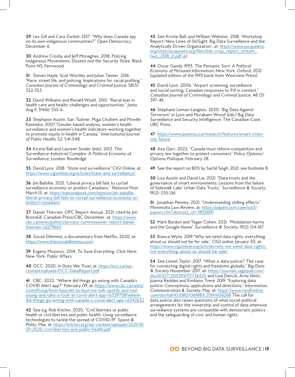**29** Lex Gill and Cara Zwibel. 2017. "Why does Canada spy on its own indigenous communities?" *Open Democracy*, December 6.

**30** Andrew Crosby and Jeff Monaghan. 2018. *Policing Indigenous Movements: Dissent and the Security State*, Black Point NS: Fernwood.

**31** Steven Hayle, Scot Wortley and Julian Tanner. 2016. "Race, street life, and policing: Implications for racial profiling." *Canadian Journal of Criminology and Criminal Justice*, 58(3): 322-353.

**32** David Williams and Ronald Wyatt. 2015. "Racial bias in health care and health: challenges and opportunities." *Jama*. Aug II, 314(6): 555-6.

**33** Stephanie Austin, Sari Tudiver, Miga Chultem and Mireille Kantiebo. 2007."Gender-based analysis, women's health surveillance and women's health indicators—working together to promote equity in health in Canada," *International Journal of Public Health*, 52: S41-S48.

**34** Kirstie Ball and Laureen Snider (eds). 2013. *The Surveillance-Industrial Complex: A Political Economy of Surveillance*, London: Routledge.

**35** David Lyon. 2018. *"State and surveillance"* CIGI Online, at: https://www.cigionline.org/articles/state-and-surveillance/

**36** Jim Balsillie. 2021. "Liberal privacy bill fails to curtail surveillance economy or protect Canadians." *National Post*, March 15, at: https://nationalpost.com/opinion/jim-balsillieliberal-privacy-bill-fails-to-curtail-surveillance-economy-orprotect-canadians

**37** Daniel Therrien, OPC Report Annual. 2021. cited by Jim Bronskill, Canadian Press/CBC December, at: https://www. cbc.ca/news/politics/privacy-commissioner-report-danieltherrien-1.6279665

**38** *Social Dilemma*, a documentary from Netflix, 2020, at: https://www.thesocialdilemma.com/

**39** Evgeny Mozorov. 2014. *To Save Everything: Click Here*, New York: Public Affairs.

**40** OCC. 2020. *In Data We Trust*, at: https://occ.ca/wpcontent/uploads/OCC-DataReport.pdf

**41** CBC. 2022. "Where did things go wrong with Canada's COVID Alert app?" February 09, at: https://www.cbc.ca/radio/ costofliving/from-boycott-to-bust-we-talk-spotify-and-neilyoung-and-take-a-look-at-covid-alert-app-1.6339708/wheredid-things-go-wrong-with-canada-s-covid-alert-app-1.6342632

**42** See e.g. Rob Kitchin. 2020. "Civil liberties or public health or civil liberties and public health: Using surveillance technologies to tackle the spread of COVID-19" *Space & Polity*, May, at: https://kitchin.org/wp-content/uploads/2021/01/ SP-2020-civil-liberties-and-public-health.pdf

**43** See Kirstie Ball, and William Webster. 2018. 'Workshop Report: New Lines of (In)Sight: Big Data Surveillance and the Analytically Driven Organization', at: https://www.sscqueens. org/sites/sscqueens.org/files/bds-crisp\_report\_stream\_ two\_2018\_0.pdf, p.1.

**44** Oscar Gandy. 1993. *The Panoptic Sort: A Political Economy of Personal Information*, New York: Oxford, 2021 (updated edition of the 1993 book from Westview Press).

**45** David Lyon. 2006. "Airport screening, surveillance and social sorting: Canadian responses to 9/11 in context," *Canadian Journal of Criminology and Criminal Justice*, 48 (3): 397-411.

**46** Stéphane Leman-Langlois. 2020. "Big Data Against Terrorism" in Lyon and Murakami Wood (eds.) Big Data Surveillance and Security Intelligence: The Canadian Case, UBC Press.

**47** https://www.queensu.ca/research/features/smart-citiescity-future

**48** Ana Qarr. 2022. "Canada must reform competition and privacy law together to protect consumers" *Policy Options/ Options Politique*, February 28.

**49** See the report on BDS by Sachil Singh, 2021, see footnote 8.

**50** Lisa Austin and David Lie. 2021. "Data trusts and the governance of smart environments: Lessons from the failure of Sidewalk Labs' Urban Data Trusts," *Surveillance & Society*, 19(2): 255-261.

**51** Jonathan Penney. 2021. "Understanding chilling effects" *Minnesota Law Review*, at: https://papers.ssrn.com/sol3/ papers.cfm?abstract\_id=3855619/

**52** Mark Burdon and Tegan Cohen. 2021. "Modulation harms and the Google Home" *Surveillance & Society*, 19(2): 154-167.

**53** Bianca Wylie. 2019."Why we need data rights: everything about us should not be for sale," *CIGI online*, January 30, at: https://www.cigionline.org/articles/why-we-need-data-rightsnot-everything-about-us-should-be-sale/

**54** See Linnet Taylor. 2017. "What is data justice? The case for connecting digital rights and freedoms globally," *Big Data & Society* November 2017, at: https://journals.sagepub.com/ doi/10.1177/2053951717736335 and Lina Dencik, Arne Hintz, Joanna Redden and Emiliano Treré. 2019. "Exploring data justice: Conceptions, applications and directions," *Information, Communication & Society*, May, at: https://www.tandfonline. com/doi/full/10.1080/1369118X.2019.1606268 The call for data justice also raises questions of what social-political arrangements for the ownership and control of data-intensive surveillance systems are compatible with democratic politics and the safeguarding of civic and human rights.